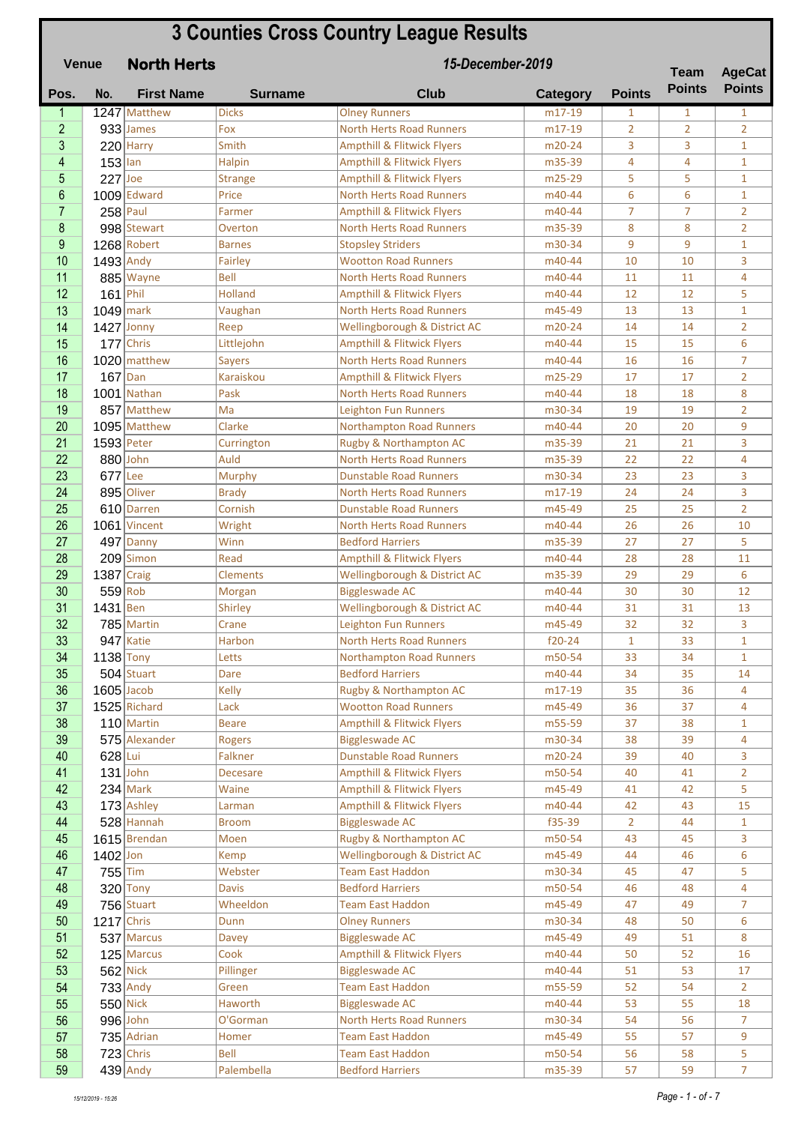## **Pos. No. First Name Surname Club Category Points** 1 1247 Matthew Dicks Olney Runners m17-19 1 1 1 1<br>1 1 1 1 1 1 1 1 1 2 933 James Fox North Herts Road Runners m17-19 2 2 2 Pox North Herts Road Runners 220 Harry Smith Ampthill & Flitwick Flyers 10 m20-24 3 3 1 153 Ian Halpin Ampthill & Flitwick Flyers 153 39 4 4 1 227 Joe Strange Ampthill & Flitwick Flyers 1925-29 5 5 1 **North Herts 3 Counties Cross Country League Results Venue Team**  *15-December-2019* **AgeCat Points Points**

| 3              |              | $220$ Harry    | Smith           | <b>Ampthill &amp; Flitwick Flyers</b> | m20-24   | 3              | 3              | $\mathbf{1}$   |
|----------------|--------------|----------------|-----------------|---------------------------------------|----------|----------------|----------------|----------------|
| 4              | $153$ lan    |                | <b>Halpin</b>   | <b>Ampthill &amp; Flitwick Flyers</b> | m35-39   | 4              | 4              | $\mathbf{1}$   |
| 5              | $227$ Joe    |                | <b>Strange</b>  | <b>Ampthill &amp; Flitwick Flyers</b> | m25-29   | 5              | 5              | $\mathbf{1}$   |
| 6              |              | 1009 Edward    | Price           | <b>North Herts Road Runners</b>       | m40-44   | 6              | 6              | $\mathbf{1}$   |
| $\overline{7}$ | $258$ Paul   |                | Farmer          | <b>Ampthill &amp; Flitwick Flyers</b> | m40-44   | $\overline{7}$ | $\overline{7}$ | $\overline{2}$ |
| $\bf 8$        |              | 998 Stewart    | Overton         | <b>North Herts Road Runners</b>       | m35-39   | 8              | 8              | $\overline{2}$ |
| 9              |              | 1268 Robert    | <b>Barnes</b>   | <b>Stopsley Striders</b>              | m30-34   | 9              | 9              | $\mathbf{1}$   |
| 10             | $1493$ Andy  |                | Fairley         | <b>Wootton Road Runners</b>           | m40-44   | 10             | 10             | 3              |
| 11             |              | 885 Wayne      | <b>Bell</b>     | <b>North Herts Road Runners</b>       | m40-44   | 11             | 11             | 4              |
| 12             | $161$ Phil   |                | <b>Holland</b>  | <b>Ampthill &amp; Flitwick Flyers</b> | m40-44   | 12             | 12             | 5              |
| 13             | $1049$ mark  |                | Vaughan         | <b>North Herts Road Runners</b>       | m45-49   | 13             | 13             | $\mathbf{1}$   |
| 14             | $1427$ Jonny |                | Reep            | Wellingborough & District AC          | m20-24   | 14             | 14             | $\overline{2}$ |
| 15             |              | 177 Chris      | Littlejohn      | <b>Ampthill &amp; Flitwick Flyers</b> | m40-44   | 15             | 15             | 6              |
| 16             |              | $1020$ matthew | <b>Sayers</b>   | <b>North Herts Road Runners</b>       | m40-44   | 16             | 16             | $\overline{7}$ |
| 17             | $167$ Dan    |                | Karaiskou       | <b>Ampthill &amp; Flitwick Flyers</b> | m25-29   | 17             | 17             | $\overline{2}$ |
| 18             |              | 1001 Nathan    | Pask            | <b>North Herts Road Runners</b>       | m40-44   | 18             | 18             | 8              |
| 19             |              |                | Ma              | <b>Leighton Fun Runners</b>           |          |                | 19             | $\overline{2}$ |
|                |              | 857 Matthew    |                 |                                       | m30-34   | 19             |                |                |
| 20             |              | 1095 Matthew   | Clarke          | Northampton Road Runners              | m40-44   | 20             | 20             | 9              |
| 21             | $1593$ Peter |                | Currington      | Rugby & Northampton AC                | m35-39   | 21             | 21             | 3              |
| 22             | 880 John     |                | Auld            | <b>North Herts Road Runners</b>       | m35-39   | 22             | 22             | 4              |
| 23             | $677$ Lee    |                | Murphy          | <b>Dunstable Road Runners</b>         | m30-34   | 23             | 23             | 3              |
| 24             |              | 895 Oliver     | <b>Brady</b>    | <b>North Herts Road Runners</b>       | m17-19   | 24             | 24             | 3              |
| 25             |              | 610 Darren     | Cornish         | <b>Dunstable Road Runners</b>         | m45-49   | 25             | 25             | $\overline{2}$ |
| 26             |              | 1061 Vincent   | Wright          | <b>North Herts Road Runners</b>       | m40-44   | 26             | 26             | 10             |
| 27             |              | $497$ Danny    | Winn            | <b>Bedford Harriers</b>               | m35-39   | 27             | 27             | 5              |
| 28             |              | $209$ Simon    | Read            | <b>Ampthill &amp; Flitwick Flyers</b> | m40-44   | 28             | 28             | 11             |
| 29             | $1387$ Craig |                | <b>Clements</b> | Wellingborough & District AC          | m35-39   | 29             | 29             | 6              |
| 30             | $559$ Rob    |                | Morgan          | <b>Biggleswade AC</b>                 | m40-44   | 30             | 30             | 12             |
| 31             | $1431$ Ben   |                | Shirley         | Wellingborough & District AC          | m40-44   | 31             | 31             | 13             |
| 32             |              | 785 Martin     | Crane           | <b>Leighton Fun Runners</b>           | m45-49   | 32             | 32             | 3              |
| 33             |              | $947$ Katie    | Harbon          | <b>North Herts Road Runners</b>       | $f20-24$ | $\mathbf{1}$   | 33             | $\mathbf{1}$   |
| 34             | $1138$ Tony  |                | Letts           | <b>Northampton Road Runners</b>       | m50-54   | 33             | 34             | $\mathbf{1}$   |
| 35             |              | $504$ Stuart   | Dare            | <b>Bedford Harriers</b>               | m40-44   | 34             | 35             | 14             |
| 36             | $1605$ Jacob |                | Kelly           | Rugby & Northampton AC                | m17-19   | 35             | 36             | 4              |
| 37             |              | 1525 Richard   | Lack            | <b>Wootton Road Runners</b>           | m45-49   | 36             | 37             | 4              |
| 38             |              | 110 Martin     | <b>Beare</b>    | <b>Ampthill &amp; Flitwick Flyers</b> | m55-59   | 37             | 38             | $\mathbf{1}$   |
| 39             |              | 575 Alexander  | Rogers          | <b>Biggleswade AC</b>                 | m30-34   | 38             | 39             | 4              |
| 40             | $628$ Lui    |                | Falkner         | <b>Dunstable Road Runners</b>         | m20-24   | 39             | 40             | 3              |
| 41             |              | $131$ John     | <b>Decesare</b> | <b>Ampthill &amp; Flitwick Flyers</b> | m50-54   | 40             | 41             | $\overline{2}$ |
| 42             |              | $234$ Mark     | Waine           | <b>Ampthill &amp; Flitwick Flyers</b> | m45-49   | 41             | 42             | 5              |
| 43             |              | $173$ Ashley   | Larman          | <b>Ampthill &amp; Flitwick Flyers</b> | m40-44   | 42             | 43             | 15             |
| 44             |              | $528$ Hannah   | <b>Broom</b>    | <b>Biggleswade AC</b>                 | $f35-39$ | $\overline{2}$ | 44             | $\mathbf{1}$   |
| 45             |              | 1615 Brendan   | Moen            | Rugby & Northampton AC                | m50-54   | 43             | 45             | 3              |
| 46             | $1402$ Jon   |                | <b>Kemp</b>     | Wellingborough & District AC          | m45-49   | 44             | 46             | 6              |
| 47             | $755$ Tim    |                | Webster         | <b>Team East Haddon</b>               | m30-34   | 45             | 47             | 5              |
| 48             |              | $320$ Tony     | <b>Davis</b>    | <b>Bedford Harriers</b>               | m50-54   | 46             | 48             | 4              |
| 49             |              | $756$ Stuart   | Wheeldon        | <b>Team East Haddon</b>               | m45-49   | 47             | 49             | 7              |
| 50             | $1217$ Chris |                | Dunn            | <b>Olney Runners</b>                  | m30-34   | 48             | 50             | 6              |
| 51             |              | 537 Marcus     | <b>Davey</b>    | <b>Biggleswade AC</b>                 | m45-49   | 49             | 51             | 8              |
| 52             |              | $125$ Marcus   | Cook            | <b>Ampthill &amp; Flitwick Flyers</b> | m40-44   | 50             | 52             | 16             |
| 53             |              | $562$ Nick     | Pillinger       | <b>Biggleswade AC</b>                 | m40-44   | 51             | 53             | 17             |
| 54             |              | $733$ Andy     | Green           | <b>Team East Haddon</b>               | m55-59   | 52             | 54             | $\overline{2}$ |
| 55             |              | $550$ Nick     | Haworth         | <b>Biggleswade AC</b>                 | m40-44   | 53             | 55             | 18             |
| 56             |              | 996 John       | O'Gorman        | <b>North Herts Road Runners</b>       | m30-34   | 54             | 56             | $\overline{7}$ |
| 57             |              | $735$ Adrian   | Homer           | <b>Team East Haddon</b>               | m45-49   | 55             | 57             | 9              |
| 58             |              | $723$ Chris    | Bell            | <b>Team East Haddon</b>               | m50-54   | 56             | 58             | 5              |
| 59             |              |                |                 |                                       |          |                | 59             | $\overline{7}$ |
|                |              | $439$ Andy     | Palembella      | <b>Bedford Harriers</b>               | m35-39   | 57             |                |                |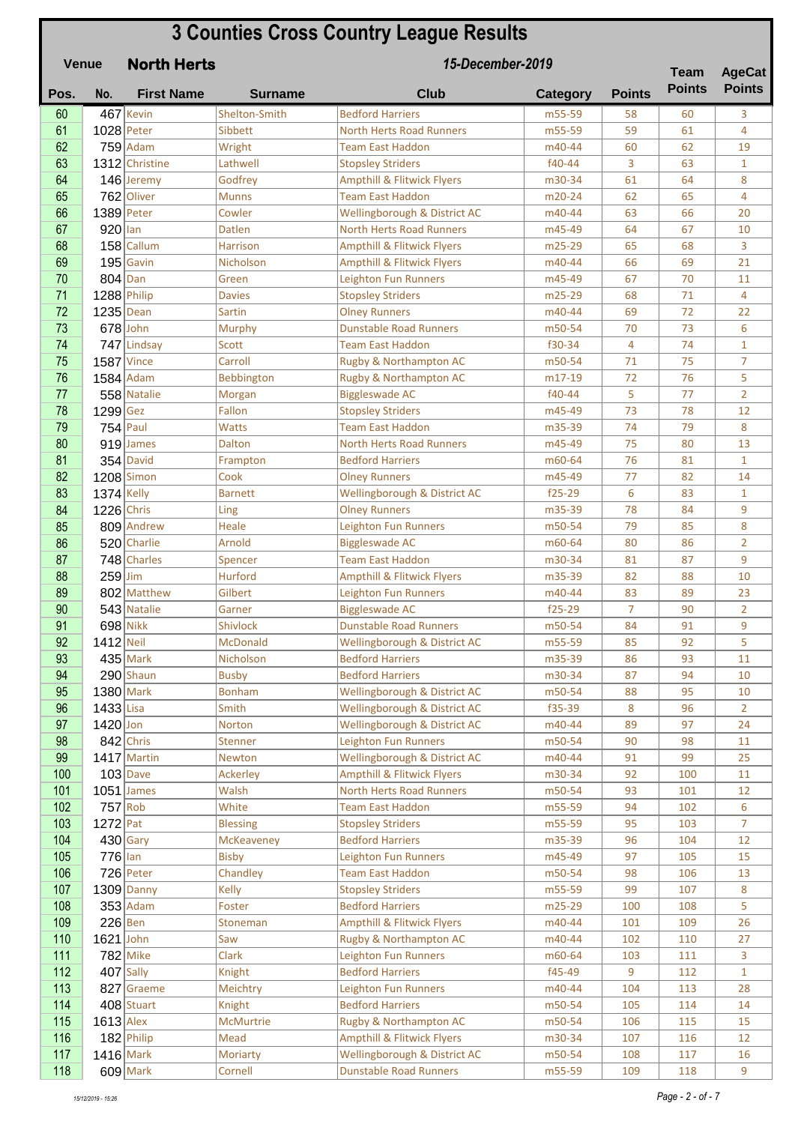|            | <b>Venue</b> | <b>North Herts</b>          | 15-December-2019         |                                                   |                  |                |               | <b>AgeCat</b>     |
|------------|--------------|-----------------------------|--------------------------|---------------------------------------------------|------------------|----------------|---------------|-------------------|
| Pos.       | No.          | <b>First Name</b>           | <b>Surname</b>           | <b>Club</b>                                       | <b>Category</b>  | <b>Points</b>  | <b>Points</b> | <b>Points</b>     |
| 60         |              | 467 Kevin                   | Shelton-Smith            | <b>Bedford Harriers</b>                           | m55-59           | 58             | 60            | 3                 |
| 61         | $1028$ Peter |                             | Sibbett                  | <b>North Herts Road Runners</b>                   | m55-59           | 59             | 61            | 4                 |
| 62         |              | $759$ Adam                  | Wright                   | <b>Team East Haddon</b>                           | m40-44           | 60             | 62            | 19                |
| 63         |              | 1312 Christine              | Lathwell                 | <b>Stopsley Striders</b>                          | f40-44           | 3              | 63            | $\mathbf{1}$      |
| 64         |              | 146 Jeremy                  | Godfrey                  | <b>Ampthill &amp; Flitwick Flyers</b>             | m30-34           | 61             | 64            | 8                 |
| 65         |              | 762 Oliver                  | <b>Munns</b>             | <b>Team East Haddon</b>                           | m20-24           | 62             | 65            | 4                 |
| 66         |              | $1389$ Peter                | Cowler                   | Wellingborough & District AC                      | m40-44           | 63             | 66            | 20                |
| 67         | $920$ lan    |                             | <b>Datlen</b>            | <b>North Herts Road Runners</b>                   | m45-49           | 64             | 67            | 10                |
| 68         |              | 158 Callum                  | <b>Harrison</b>          | <b>Ampthill &amp; Flitwick Flyers</b>             | m25-29           | 65             | 68            | 3                 |
| 69         |              | $195$ Gavin                 | Nicholson                | <b>Ampthill &amp; Flitwick Flyers</b>             | m40-44           | 66             | 69            | 21                |
| 70         | $804$ Dan    |                             | Green                    | <b>Leighton Fun Runners</b>                       | m45-49           | 67             | 70            | 11                |
| 71         |              | 1288 Philip                 | <b>Davies</b>            | <b>Stopsley Striders</b>                          | m25-29           | 68             | 71            | 4                 |
| 72         | $1235$ Dean  |                             | Sartin                   | <b>Olney Runners</b>                              | m40-44           | 69             | 72            | 22                |
| 73<br>74   |              | $678$ John                  | Murphy<br><b>Scott</b>   | <b>Dunstable Road Runners</b>                     | m50-54<br>f30-34 | 70<br>4        | 73<br>74      | 6<br>$\mathbf{1}$ |
| 75         |              | 747 Lindsay<br>$1587$ Vince | Carroll                  | <b>Team East Haddon</b><br>Rugby & Northampton AC | m50-54           | 71             | 75            | $\overline{7}$    |
| 76         |              | $1584$ Adam                 | Bebbington               | Rugby & Northampton AC                            | m17-19           | 72             | 76            | 5                 |
| 77         |              | 558 Natalie                 | Morgan                   | <b>Biggleswade AC</b>                             | f40-44           | 5              | 77            | $\overline{2}$    |
| 78         | $1299$ Gez   |                             | Fallon                   | <b>Stopsley Striders</b>                          | m45-49           | 73             | 78            | 12                |
| 79         |              | $754$ Paul                  | <b>Watts</b>             | <b>Team East Haddon</b>                           | m35-39           | 74             | 79            | 8                 |
| 80         |              | 919 James                   | <b>Dalton</b>            | <b>North Herts Road Runners</b>                   | m45-49           | 75             | 80            | 13                |
| 81         |              | $354$ David                 | Frampton                 | <b>Bedford Harriers</b>                           | m60-64           | 76             | 81            | $\mathbf{1}$      |
| 82         |              | 1208 Simon                  | Cook                     | <b>Olney Runners</b>                              | m45-49           | 77             | 82            | 14                |
| 83         | 1374 Kelly   |                             | <b>Barnett</b>           | Wellingborough & District AC                      | $f25-29$         | 6              | 83            | $\mathbf{1}$      |
| 84         | $1226$ Chris |                             | Ling                     | <b>Olney Runners</b>                              | m35-39           | 78             | 84            | 9                 |
| 85         |              | 809 Andrew                  | Heale                    | <b>Leighton Fun Runners</b>                       | m50-54           | 79             | 85            | 8                 |
| 86         |              | 520 Charlie                 | Arnold                   | <b>Biggleswade AC</b>                             | m60-64           | 80             | 86            | $\overline{2}$    |
| 87         |              | 748 Charles                 | Spencer                  | <b>Team East Haddon</b>                           | m30-34           | 81             | 87            | 9                 |
| 88         | $259$ Jim    |                             | <b>Hurford</b>           | <b>Ampthill &amp; Flitwick Flyers</b>             | m35-39           | 82             | 88            | 10                |
| 89         |              | 802 Matthew                 | Gilbert                  | <b>Leighton Fun Runners</b>                       | m40-44           | 83             | 89            | 23                |
| 90         |              | 543 Natalie                 | Garner                   | <b>Biggleswade AC</b>                             | $f25-29$         | $\overline{7}$ | 90            | $\overline{2}$    |
| 91         |              | $698$ Nikk                  | Shivlock                 | <b>Dunstable Road Runners</b>                     | m50-54           | 84             | 91            | 9                 |
| 92         | $1412$ Neil  |                             | <b>McDonald</b>          | Wellingborough & District AC                      | m55-59           | 85             | 92            | 5                 |
| 93         |              | $435$ Mark                  | Nicholson                | <b>Bedford Harriers</b>                           | m35-39           | 86             | 93            | 11                |
| 94         |              | $290$ Shaun                 | <b>Busby</b>             | <b>Bedford Harriers</b>                           | m30-34           | 87             | 94            | 10                |
| 95         |              | $1380$ Mark                 | <b>Bonham</b>            | Wellingborough & District AC                      | m50-54           | 88             | 95            | 10                |
| 96         | 1433 Lisa    |                             | Smith                    | Wellingborough & District AC                      | f35-39           | 8              | 96            | $\overline{2}$    |
| 97         | $1420$ Jon   |                             | Norton                   | Wellingborough & District AC                      | m40-44           | 89             | 97            | 24                |
| 98         |              | $842$ Chris                 | <b>Stenner</b>           | <b>Leighton Fun Runners</b>                       | m50-54           | 90             | 98            | 11                |
| 99         |              | $1417$ Martin               | <b>Newton</b>            | Wellingborough & District AC                      | m40-44           | 91             | 99            | 25                |
| 100        |              | $103$ Dave                  | Ackerley                 | <b>Ampthill &amp; Flitwick Flyers</b>             | m30-34           | 92             | 100           | 11                |
| 101        |              | $1051$ James                | Walsh                    | North Herts Road Runners                          | m50-54           | 93             | 101           | 12                |
| 102        |              | $757$ Rob                   | White                    | <b>Team East Haddon</b>                           | m55-59           | 94             | 102           | 6                 |
| 103        | $1272$ Pat   |                             | <b>Blessing</b>          | <b>Stopsley Striders</b>                          | m55-59           | 95             | 103           | $\overline{7}$    |
| 104<br>105 |              | $430$ Gary                  | McKeaveney               | <b>Bedford Harriers</b>                           | m35-39           | 96             | 104           | 12                |
| 106        | $776$ lan    | $726$ Peter                 | <b>Bisby</b><br>Chandley | Leighton Fun Runners<br><b>Team East Haddon</b>   | m45-49<br>m50-54 | 97<br>98       | 105           | 15<br>13          |
| 107        |              | $1309$ Danny                | Kelly                    | <b>Stopsley Striders</b>                          | m55-59           | 99             | 106<br>107    | 8                 |
| 108        |              | $353$ Adam                  | Foster                   | <b>Bedford Harriers</b>                           | m25-29           | 100            | 108           | 5                 |
| 109        | $226$ Ben    |                             | Stoneman                 | <b>Ampthill &amp; Flitwick Flyers</b>             | m40-44           | 101            | 109           | 26                |
| 110        | $1621$ John  |                             | Saw                      | Rugby & Northampton AC                            | m40-44           | 102            | 110           | 27                |
| 111        |              | <b>782 Mike</b>             | Clark                    | <b>Leighton Fun Runners</b>                       | m60-64           | 103            | 111           | 3                 |
| 112        |              | $407$ Sally                 | Knight                   | <b>Bedford Harriers</b>                           | f45-49           | 9              | 112           | $\mathbf{1}$      |
| 113        |              | 827 Graeme                  | Meichtry                 | Leighton Fun Runners                              | m40-44           | 104            | 113           | 28                |
| 114        |              | $408$ Stuart                | Knight                   | <b>Bedford Harriers</b>                           | m50-54           | 105            | 114           | 14                |
| 115        | $1613$ Alex  |                             | <b>McMurtrie</b>         | Rugby & Northampton AC                            | m50-54           | 106            | 115           | 15                |
| 116        |              | 182 Philip                  | Mead                     | <b>Ampthill &amp; Flitwick Flyers</b>             | m30-34           | 107            | 116           | 12                |
| 117        | $1416$ Mark  |                             | Moriarty                 | Wellingborough & District AC                      | m50-54           | 108            | 117           | 16                |
| 118        |              | $609$ Mark                  | Cornell                  | <b>Dunstable Road Runners</b>                     | m55-59           | 109            | 118           | 9                 |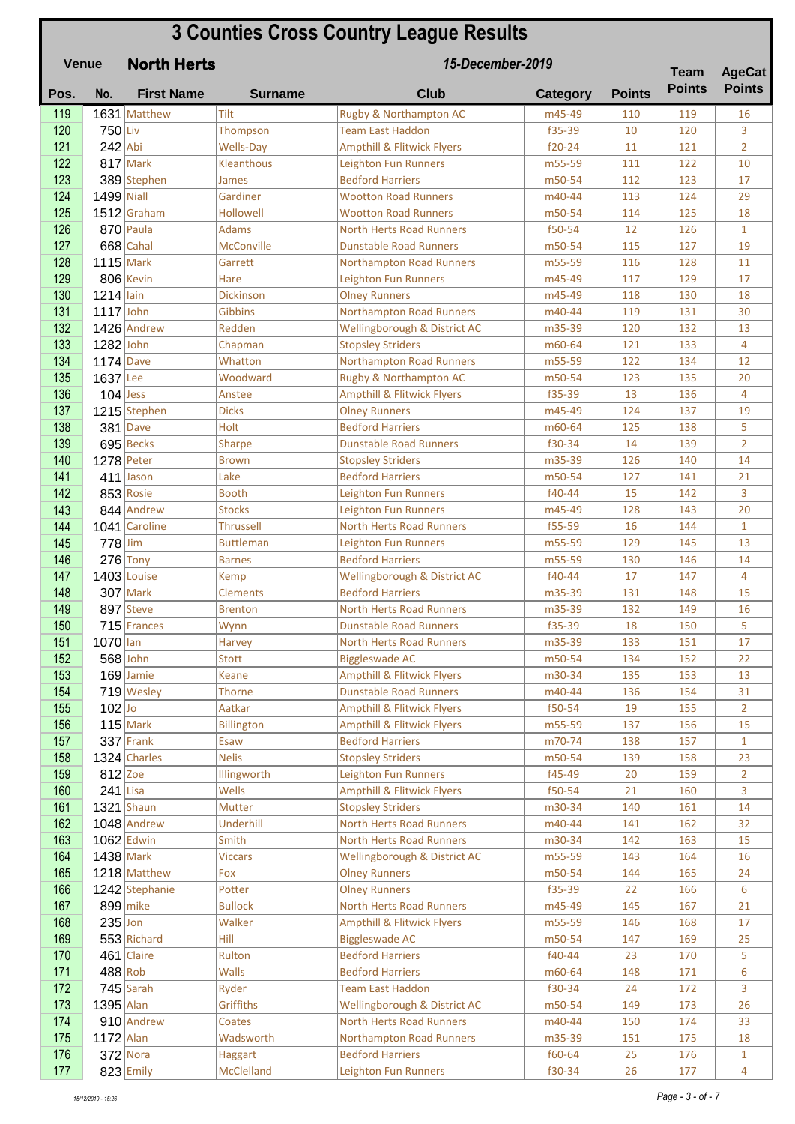|            | <b>Venue</b> | <b>North Herts</b> | 15-December-2019      |                                                                  |                  |               |               | <b>AgeCat</b>  |
|------------|--------------|--------------------|-----------------------|------------------------------------------------------------------|------------------|---------------|---------------|----------------|
| Pos.       | No.          | <b>First Name</b>  | <b>Surname</b>        | <b>Club</b>                                                      | <b>Category</b>  | <b>Points</b> | <b>Points</b> | <b>Points</b>  |
| 119        |              | 1631 Matthew       | Tilt                  | Rugby & Northampton AC                                           | m45-49           | 110           | 119           | 16             |
| 120        | $750$ Liv    |                    | Thompson              | <b>Team East Haddon</b>                                          | f35-39           | 10            | 120           | 3              |
| 121        | $242$ Abi    |                    | <b>Wells-Day</b>      | <b>Ampthill &amp; Flitwick Flyers</b>                            | $f20-24$         | 11            | 121           | $\overline{2}$ |
| 122        |              | $817$ Mark         | Kleanthous            | <b>Leighton Fun Runners</b>                                      | m55-59           | 111           | 122           | 10             |
| 123        |              | 389 Stephen        | <b>James</b>          | <b>Bedford Harriers</b>                                          | m50-54           | 112           | 123           | 17             |
| 124        | 1499 Niall   |                    | Gardiner              | <b>Wootton Road Runners</b>                                      | m40-44           | 113           | 124           | 29             |
| 125        |              | $1512$ Graham      | Hollowell             | <b>Wootton Road Runners</b>                                      | m50-54           | 114           | 125           | 18             |
| 126        |              | $870$ Paula        | <b>Adams</b>          | <b>North Herts Road Runners</b>                                  | f50-54           | 12            | 126           | $\mathbf{1}$   |
| 127        |              | $668$ Cahal        | <b>McConville</b>     | <b>Dunstable Road Runners</b>                                    | m50-54           | 115           | 127           | 19             |
| 128<br>129 | $1115$ Mark  | 806 Kevin          | Garrett<br>Hare       | <b>Northampton Road Runners</b><br>Leighton Fun Runners          | m55-59<br>m45-49 | 116<br>117    | 128<br>129    | 11<br>17       |
| 130        | $1214$ lain  |                    | <b>Dickinson</b>      | <b>Olney Runners</b>                                             | m45-49           | 118           | 130           | 18             |
| 131        | $1117$ John  |                    | Gibbins               | <b>Northampton Road Runners</b>                                  | m40-44           | 119           | 131           | 30             |
| 132        |              | 1426 Andrew        | Redden                | Wellingborough & District AC                                     | m35-39           | 120           | 132           | 13             |
| 133        | 1282 John    |                    | Chapman               | <b>Stopsley Striders</b>                                         | m60-64           | 121           | 133           | 4              |
| 134        | $1174$ Dave  |                    | Whatton               | <b>Northampton Road Runners</b>                                  | m55-59           | 122           | 134           | 12             |
| 135        | 1637 Lee     |                    | Woodward              | Rugby & Northampton AC                                           | m50-54           | 123           | 135           | 20             |
| 136        |              | $104$ Jess         | Anstee                | <b>Ampthill &amp; Flitwick Flyers</b>                            | f35-39           | 13            | 136           | 4              |
| 137        |              | 1215 Stephen       | <b>Dicks</b>          | <b>Olney Runners</b>                                             | m45-49           | 124           | 137           | 19             |
| 138        |              | $381$ Dave         | Holt                  | <b>Bedford Harriers</b>                                          | m60-64           | 125           | 138           | 5              |
| 139        |              | 695 Becks          | <b>Sharpe</b>         | <b>Dunstable Road Runners</b>                                    | f30-34           | 14            | 139           | $\overline{2}$ |
| 140        |              | $1278$ Peter       | <b>Brown</b>          | <b>Stopsley Striders</b>                                         | m35-39           | 126           | 140           | 14             |
| 141        |              | $411$ Jason        | Lake                  | <b>Bedford Harriers</b>                                          | m50-54           | 127           | 141           | 21             |
| 142        |              | 853 Rosie          | <b>Booth</b>          | Leighton Fun Runners                                             | f40-44           | 15            | 142           | 3              |
| 143        |              | 844 Andrew         | <b>Stocks</b>         | <b>Leighton Fun Runners</b>                                      | m45-49           | 128           | 143           | 20             |
| 144        |              | 1041 Caroline      | Thrussell             | <b>North Herts Road Runners</b>                                  | f55-59           | 16            | 144           | $\mathbf{1}$   |
| 145        | $778$ Jim    |                    | <b>Buttleman</b>      | <b>Leighton Fun Runners</b>                                      | m55-59           | 129           | 145           | 13             |
| 146        |              | $276$ Tony         | <b>Barnes</b>         | <b>Bedford Harriers</b>                                          | m55-59           | 130           | 146           | 14             |
| 147        |              | 1403 Louise        | <b>Kemp</b>           | Wellingborough & District AC                                     | f40-44           | 17            | 147           | 4              |
| 148        |              | $307$ Mark         | <b>Clements</b>       | <b>Bedford Harriers</b>                                          | m35-39           | 131           | 148           | 15             |
| 149        |              | 897 Steve          | <b>Brenton</b>        | <b>North Herts Road Runners</b>                                  | m35-39           | 132           | 149           | 16             |
| 150<br>151 | $1070$ lan   | $715$ Frances      | Wynn<br><b>Harvey</b> | <b>Dunstable Road Runners</b><br><b>North Herts Road Runners</b> | f35-39<br>m35-39 | 18<br>133     | 150<br>151    | 5<br>17        |
| 152        |              | $568$ John         | Stott                 | <b>Biggleswade AC</b>                                            | m50-54           | 134           | 152           | 22             |
| 153        |              | $169$ Jamie        | <b>Keane</b>          | <b>Ampthill &amp; Flitwick Flyers</b>                            | m30-34           | 135           | 153           | 13             |
| 154        |              | 719 Wesley         | Thorne                | <b>Dunstable Road Runners</b>                                    | m40-44           | 136           | 154           | 31             |
| 155        | $102$ Jo     |                    | Aatkar                | <b>Ampthill &amp; Flitwick Flyers</b>                            | f50-54           | 19            | 155           | $\overline{2}$ |
| 156        |              | $115$ Mark         | <b>Billington</b>     | <b>Ampthill &amp; Flitwick Flyers</b>                            | m55-59           | 137           | 156           | 15             |
| 157        |              | $337$ Frank        | Esaw                  | <b>Bedford Harriers</b>                                          | m70-74           | 138           | 157           | $\mathbf{1}$   |
| 158        |              | 1324 Charles       | <b>Nelis</b>          | <b>Stopsley Striders</b>                                         | m50-54           | 139           | 158           | 23             |
| 159        | $812$ Zoe    |                    | Illingworth           | Leighton Fun Runners                                             | f45-49           | 20            | 159           | $\overline{2}$ |
| 160        | $241$ Lisa   |                    | Wells                 | <b>Ampthill &amp; Flitwick Flyers</b>                            | f50-54           | 21            | 160           | 3              |
| 161        |              | $1321$ Shaun       | Mutter                | <b>Stopsley Striders</b>                                         | m30-34           | 140           | 161           | 14             |
| 162        |              | $1048$ Andrew      | Underhill             | North Herts Road Runners                                         | m40-44           | 141           | 162           | 32             |
| 163        |              | $1062$ Edwin       | Smith                 | North Herts Road Runners                                         | m30-34           | 142           | 163           | 15             |
| 164        | $1438$ Mark  |                    | <b>Viccars</b>        | Wellingborough & District AC                                     | m55-59           | 143           | 164           | 16             |
| 165        |              | 1218 Matthew       | Fox                   | <b>Olney Runners</b>                                             | m50-54           | 144           | 165           | 24             |
| 166        |              | 1242 Stephanie     | Potter                | <b>Olney Runners</b>                                             | f35-39           | 22            | 166           | 6              |
| 167<br>168 | $235$ Jon    | $899$ mike         | <b>Bullock</b>        | North Herts Road Runners                                         | m45-49           | 145           | 167           | 21<br>17       |
| 169        |              | 553 Richard        | Walker<br>Hill        | <b>Ampthill &amp; Flitwick Flyers</b><br><b>Biggleswade AC</b>   | m55-59<br>m50-54 | 146<br>147    | 168<br>169    | 25             |
| 170        |              | 461 Claire         | Rulton                | <b>Bedford Harriers</b>                                          | f40-44           | 23            | 170           | 5              |
| 171        |              | $488$ Rob          | <b>Walls</b>          | <b>Bedford Harriers</b>                                          | m60-64           | 148           | 171           | 6              |
| 172        |              | $745$ Sarah        | Ryder                 | <b>Team East Haddon</b>                                          | f30-34           | 24            | 172           | 3              |
| 173        | 1395 Alan    |                    | Griffiths             | Wellingborough & District AC                                     | m50-54           | 149           | 173           | 26             |
| 174        |              | 910 Andrew         | Coates                | <b>North Herts Road Runners</b>                                  | m40-44           | 150           | 174           | 33             |
| 175        | $1172$ Alan  |                    | Wadsworth             | <b>Northampton Road Runners</b>                                  | m35-39           | 151           | 175           | 18             |
| 176        |              | $372$ Nora         | <b>Haggart</b>        | <b>Bedford Harriers</b>                                          | f60-64           | 25            | 176           | $\mathbf{1}$   |
| 177        |              | $823$ Emily        | McClelland            | Leighton Fun Runners                                             | f30-34           | 26            | 177           | $\overline{4}$ |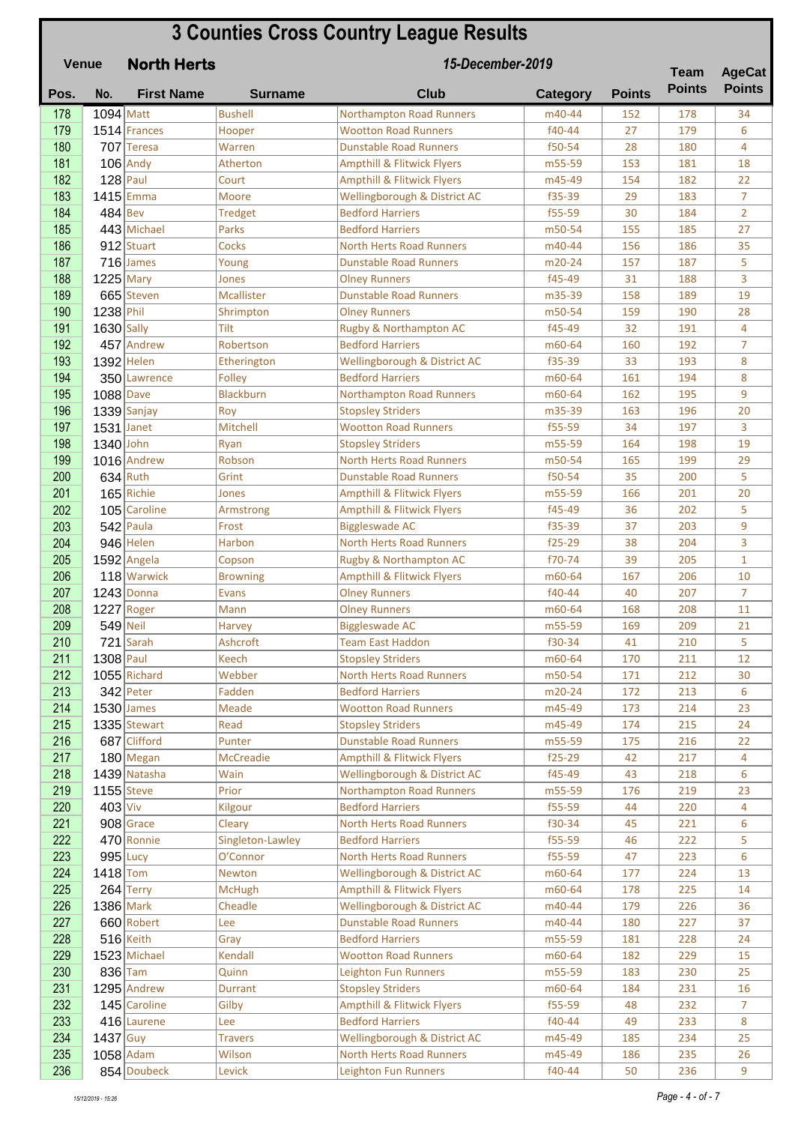|            | <b>3 Counties Cross Country League Results</b><br>15-December-2019<br><b>Venue</b><br><b>North Herts</b> |                             |                                |                                                                |                  |               | <b>Team</b>   | <b>AgeCat</b>                    |
|------------|----------------------------------------------------------------------------------------------------------|-----------------------------|--------------------------------|----------------------------------------------------------------|------------------|---------------|---------------|----------------------------------|
| Pos.       | No.                                                                                                      | <b>First Name</b>           | <b>Surname</b>                 | <b>Club</b>                                                    | <b>Category</b>  | <b>Points</b> | <b>Points</b> | <b>Points</b>                    |
| 178        | $1094$ Matt                                                                                              |                             | <b>Bushell</b>                 | <b>Northampton Road Runners</b>                                | m40-44           | 152           | 178           | 34                               |
| 179        |                                                                                                          | 1514 Frances                | Hooper                         | <b>Wootton Road Runners</b>                                    | f40-44           | 27            | 179           | 6                                |
| 180        |                                                                                                          | 707 Teresa                  | Warren                         | <b>Dunstable Road Runners</b>                                  | f50-54           | 28            | 180           | 4                                |
| 181        |                                                                                                          | $106$ Andy                  | Atherton                       | <b>Ampthill &amp; Flitwick Flyers</b>                          | m55-59           | 153           | 181           | 18                               |
| 182        |                                                                                                          | $128$ Paul                  | Court                          | <b>Ampthill &amp; Flitwick Flyers</b>                          | m45-49           | 154           | 182           | 22                               |
| 183<br>184 | $484$ Bev                                                                                                | $1415$ Emma                 | Moore                          | Wellingborough & District AC                                   | f35-39           | 29<br>30      | 183           | $\overline{7}$<br>$\overline{2}$ |
| 185        |                                                                                                          | 443 Michael                 | <b>Tredget</b><br><b>Parks</b> | <b>Bedford Harriers</b><br><b>Bedford Harriers</b>             | f55-59<br>m50-54 | 155           | 184<br>185    | 27                               |
| 186        |                                                                                                          | 912 Stuart                  | Cocks                          | <b>North Herts Road Runners</b>                                | m40-44           | 156           | 186           | 35                               |
| 187        |                                                                                                          | $716$ James                 | Young                          | <b>Dunstable Road Runners</b>                                  | m20-24           | 157           | 187           | 5                                |
| 188        | $1225$ Mary                                                                                              |                             | Jones                          | <b>Olney Runners</b>                                           | f45-49           | 31            | 188           | 3                                |
| 189        |                                                                                                          | 665 Steven                  | Mcallister                     | <b>Dunstable Road Runners</b>                                  | m35-39           | 158           | 189           | 19                               |
| 190        | 1238 Phil                                                                                                |                             | Shrimpton                      | <b>Olney Runners</b>                                           | m50-54           | 159           | 190           | 28                               |
| 191        | $1630$ Sally                                                                                             |                             | Tilt                           | Rugby & Northampton AC                                         | f45-49           | 32            | 191           | 4                                |
| 192        |                                                                                                          | 457 Andrew                  | Robertson                      | <b>Bedford Harriers</b>                                        | m60-64           | 160           | 192           | 7                                |
| 193        |                                                                                                          | $1392$ Helen                | Etherington                    | Wellingborough & District AC                                   | f35-39           | 33            | 193           | 8                                |
| 194        |                                                                                                          | 350 Lawrence                | Folley                         | <b>Bedford Harriers</b>                                        | m60-64           | 161           | 194           | 8                                |
| 195        | $1088$ Dave                                                                                              |                             | Blackburn                      | <b>Northampton Road Runners</b>                                | m60-64           | 162           | 195           | 9                                |
| 196        |                                                                                                          | $1339$ Sanjay               | Roy                            | <b>Stopsley Striders</b>                                       | m35-39           | 163           | 196           | 20                               |
| 197        | 1531 Janet                                                                                               |                             | Mitchell                       | <b>Wootton Road Runners</b>                                    | f55-59           | 34            | 197           | 3                                |
| 198        | 1340 John                                                                                                |                             | Ryan                           | <b>Stopsley Striders</b>                                       | m55-59           | 164           | 198           | 19                               |
| 199        |                                                                                                          | 1016 Andrew                 | Robson                         | <b>North Herts Road Runners</b>                                | m50-54           | 165           | 199           | 29                               |
| 200        |                                                                                                          | $634$ Ruth                  | Grint                          | <b>Dunstable Road Runners</b>                                  | f50-54           | 35            | 200           | 5                                |
| 201        |                                                                                                          | $165$ Richie                | Jones                          | <b>Ampthill &amp; Flitwick Flyers</b>                          | m55-59           | 166           | 201           | 20                               |
| 202<br>203 |                                                                                                          | 105 Caroline<br>$542$ Paula | Armstrong<br>Frost             | <b>Ampthill &amp; Flitwick Flyers</b><br><b>Biggleswade AC</b> | f45-49<br>f35-39 | 36<br>37      | 202<br>203    | 5<br>9                           |
| 204        |                                                                                                          | 946 Helen                   | Harbon                         | <b>North Herts Road Runners</b>                                | $f25-29$         | 38            | 204           | 3                                |
| 205        |                                                                                                          | $1592$ Angela               | Copson                         | Rugby & Northampton AC                                         | f70-74           | 39            | 205           | $\mathbf{1}$                     |
| 206        |                                                                                                          | 118 Warwick                 | <b>Browning</b>                | <b>Ampthill &amp; Flitwick Flyers</b>                          | m60-64           | 167           | 206           | 10                               |
| 207        |                                                                                                          | $1243$ Donna                | <b>Evans</b>                   | <b>Olney Runners</b>                                           | f40-44           | 40            | 207           | 7                                |
| 208        |                                                                                                          | $1227$ Roger                | Mann                           | <b>Olney Runners</b>                                           | m60-64           | 168           | 208           | 11                               |
| 209        |                                                                                                          | $549$ Neil                  | <b>Harvey</b>                  | <b>Biggleswade AC</b>                                          | m55-59           | 169           | 209           | 21                               |
| 210        |                                                                                                          | $721$ Sarah                 | Ashcroft                       | <b>Team East Haddon</b>                                        | f30-34           | 41            | 210           | 5                                |
| 211        | $1308$ Paul                                                                                              |                             | <b>Keech</b>                   | <b>Stopsley Striders</b>                                       | m60-64           | 170           | 211           | 12                               |
| 212        |                                                                                                          | $1055$ Richard              | Webber                         | <b>North Herts Road Runners</b>                                | m50-54           | 171           | 212           | 30                               |
| 213        |                                                                                                          | $342$ Peter                 | Fadden                         | <b>Bedford Harriers</b>                                        | m20-24           | 172           | 213           | 6                                |
| 214        |                                                                                                          | $1530$ James                | Meade                          | <b>Wootton Road Runners</b>                                    | m45-49           | 173           | 214           | 23                               |
| 215        |                                                                                                          | 1335 Stewart                | Read                           | <b>Stopsley Striders</b>                                       | m45-49           | 174           | 215           | 24                               |
| 216        |                                                                                                          | 687 Clifford                | Punter                         | <b>Dunstable Road Runners</b>                                  | m55-59           | 175           | 216           | 22                               |
| 217        |                                                                                                          | $180$ Megan                 | McCreadie                      | <b>Ampthill &amp; Flitwick Flyers</b>                          | $f25-29$         | 42            | 217           | 4                                |
| 218        |                                                                                                          | 1439 Natasha                | Wain                           | Wellingborough & District AC                                   | f45-49           | 43            | 218           | 6                                |
| 219<br>220 | $403$ Viv                                                                                                | $1155$ Steve                | Prior<br>Kilgour               | <b>Northampton Road Runners</b><br><b>Bedford Harriers</b>     | m55-59<br>f55-59 | 176<br>44     | 219<br>220    | 23<br>4                          |
| 221        |                                                                                                          | $908$ Grace                 | Cleary                         | <b>North Herts Road Runners</b>                                | f30-34           | 45            | 221           | 6                                |
| 222        |                                                                                                          | 470 Ronnie                  | Singleton-Lawley               | <b>Bedford Harriers</b>                                        | f55-59           | 46            | 222           | 5                                |
| 223        |                                                                                                          | $995$ Lucy                  | O'Connor                       | <b>North Herts Road Runners</b>                                | f55-59           | 47            | 223           | 6                                |
| 224        | $1418$ Tom                                                                                               |                             | <b>Newton</b>                  | Wellingborough & District AC                                   | m60-64           | 177           | 224           | 13                               |
| 225        |                                                                                                          | $264$ Terry                 | <b>McHugh</b>                  | <b>Ampthill &amp; Flitwick Flyers</b>                          | m60-64           | 178           | 225           | 14                               |
| 226        |                                                                                                          | 1386 Mark                   | Cheadle                        | Wellingborough & District AC                                   | m40-44           | 179           | 226           | 36                               |
| 227        |                                                                                                          | 660 Robert                  | Lee                            | <b>Dunstable Road Runners</b>                                  | m40-44           | 180           | 227           | 37                               |
| 228        |                                                                                                          | $516$ Keith                 | Gray                           | <b>Bedford Harriers</b>                                        | m55-59           | 181           | 228           | 24                               |
| 229        |                                                                                                          | 1523 Michael                | Kendall                        | <b>Wootton Road Runners</b>                                    | m60-64           | 182           | 229           | 15                               |
| 230        |                                                                                                          | $836$ Tam                   | Quinn                          | Leighton Fun Runners                                           | m55-59           | 183           | 230           | 25                               |
| 231        |                                                                                                          | 1295 Andrew                 | Durrant                        | <b>Stopsley Striders</b>                                       | m60-64           | 184           | 231           | 16                               |
| 232        |                                                                                                          | 145 Caroline                | Gilby                          | <b>Ampthill &amp; Flitwick Flyers</b>                          | f55-59           | 48            | 232           | $\overline{7}$                   |
| 233        |                                                                                                          | 416 Laurene                 | Lee                            | <b>Bedford Harriers</b>                                        | f40-44           | 49            | 233           | 8                                |
| 234        | $1437$ Guy                                                                                               |                             | <b>Travers</b>                 | Wellingborough & District AC                                   | m45-49           | 185           | 234           | 25                               |
| 235        |                                                                                                          | $1058$ Adam                 | Wilson                         | <b>North Herts Road Runners</b>                                | m45-49           | 186           | 235           | 26                               |
| 236        |                                                                                                          | 854 Doubeck                 | Levick                         | <b>Leighton Fun Runners</b>                                    | f40-44           | 50            | 236           | 9                                |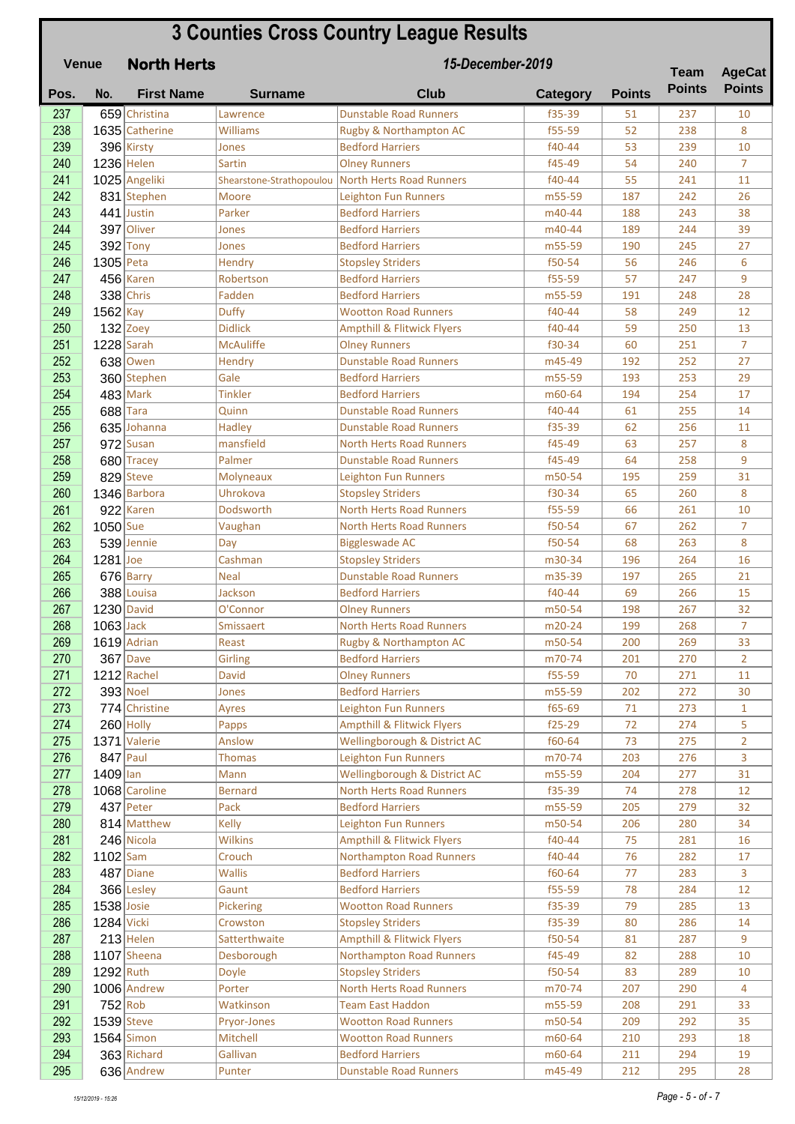| <b>3 Counties Cross Country League Results</b><br>15-December-2019<br><b>Venue</b><br><b>North Herts</b> |              |                           |                          |                                                          |                  |               |                              |                                |
|----------------------------------------------------------------------------------------------------------|--------------|---------------------------|--------------------------|----------------------------------------------------------|------------------|---------------|------------------------------|--------------------------------|
| Pos.                                                                                                     | No.          | <b>First Name</b>         | <b>Surname</b>           | <b>Club</b>                                              | Category         | <b>Points</b> | <b>Team</b><br><b>Points</b> | <b>AgeCat</b><br><b>Points</b> |
| 237                                                                                                      |              | 659 Christina             | Lawrence                 | <b>Dunstable Road Runners</b>                            | f35-39           | 51            | 237                          | 10                             |
| 238                                                                                                      |              | 1635 Catherine            | Williams                 | Rugby & Northampton AC                                   | f55-59           | 52            | 238                          | 8                              |
| 239                                                                                                      |              | 396 Kirsty                | Jones                    | <b>Bedford Harriers</b>                                  | f40-44           | 53            | 239                          | 10                             |
| 240                                                                                                      |              | 1236 Helen                | Sartin                   | <b>Olney Runners</b>                                     | f45-49           | 54            | 240                          | $\overline{7}$                 |
| 241                                                                                                      |              | 1025 Angeliki             | Shearstone-Strathopoulou | North Herts Road Runners                                 | f40-44           | 55            | 241                          | 11                             |
| 242                                                                                                      |              | 831 Stephen               | Moore                    | <b>Leighton Fun Runners</b>                              | m55-59           | 187           | 242                          | 26                             |
| 243                                                                                                      |              | 441 Justin                | Parker                   | <b>Bedford Harriers</b>                                  | m40-44           | 188           | 243                          | 38                             |
| 244                                                                                                      |              | 397 Oliver                | Jones                    | <b>Bedford Harriers</b>                                  | m40-44           | 189           | 244                          | 39                             |
| 245                                                                                                      |              | $392$ Tony                | Jones                    | <b>Bedford Harriers</b>                                  | m55-59           | 190           | 245                          | 27                             |
| 246                                                                                                      | $1305$ Peta  |                           | Hendry                   | <b>Stopsley Striders</b>                                 | f50-54           | 56            | 246                          | 6                              |
| 247                                                                                                      |              | $456$ Karen               | Robertson                | <b>Bedford Harriers</b>                                  | f55-59           | 57            | 247                          | 9                              |
| 248                                                                                                      |              | $338$ Chris               | Fadden                   | <b>Bedford Harriers</b>                                  | m55-59           | 191           | 248                          | 28                             |
| 249                                                                                                      | 1562 Kay     |                           | <b>Duffy</b>             | <b>Wootton Road Runners</b>                              | f40-44           | 58            | 249                          | 12                             |
| 250                                                                                                      |              | $132$ Zoey                | <b>Didlick</b>           | <b>Ampthill &amp; Flitwick Flyers</b>                    | f40-44           | 59            | 250                          | 13                             |
| 251                                                                                                      |              | $1228$ Sarah              | <b>McAuliffe</b>         | <b>Olney Runners</b>                                     | f30-34           | 60            | 251                          | $\overline{7}$                 |
| 252                                                                                                      |              | 638 Owen                  | Hendry                   | <b>Dunstable Road Runners</b>                            | m45-49           | 192           | 252                          | 27                             |
| 253                                                                                                      |              | 360 Stephen               | Gale                     | <b>Bedford Harriers</b>                                  | m55-59           | 193           | 253                          | 29                             |
| 254                                                                                                      |              | $483$ Mark                | <b>Tinkler</b>           | <b>Bedford Harriers</b>                                  | m60-64           | 194           | 254                          | 17                             |
| 255                                                                                                      |              | $688$ Tara                | Quinn                    | <b>Dunstable Road Runners</b>                            | f40-44           | 61            | 255                          | 14                             |
| 256                                                                                                      |              | 635 Johanna               | <b>Hadley</b>            | <b>Dunstable Road Runners</b>                            | f35-39           | 62            | 256                          | 11                             |
| 257                                                                                                      |              | $972$ Susan               | mansfield                | <b>North Herts Road Runners</b>                          | f45-49           | 63            | 257                          | 8                              |
| 258                                                                                                      |              | 680 Tracey                | Palmer                   | <b>Dunstable Road Runners</b>                            | f45-49           | 64            | 258                          | 9                              |
| 259                                                                                                      |              | 829 Steve                 | <b>Molyneaux</b>         | Leighton Fun Runners                                     | m50-54           | 195           | 259                          | 31                             |
| 260                                                                                                      |              | 1346 Barbora              | Uhrokova                 | <b>Stopsley Striders</b>                                 | f30-34           | 65            | 260                          | 8                              |
| 261                                                                                                      |              | $922$ Karen               | Dodsworth                | <b>North Herts Road Runners</b>                          | f55-59           | 66            | 261                          | 10                             |
| 262<br>263                                                                                               | $1050$ Sue   | 539 Jennie                | Vaughan                  | <b>North Herts Road Runners</b><br><b>Biggleswade AC</b> | f50-54<br>f50-54 | 67<br>68      | 262<br>263                   | $\overline{7}$<br>8            |
| 264                                                                                                      | $1281$ Joe   |                           | Day<br>Cashman           | <b>Stopsley Striders</b>                                 | m30-34           | 196           | 264                          | 16                             |
| 265                                                                                                      |              | 676 Barry                 | <b>Neal</b>              | <b>Dunstable Road Runners</b>                            | m35-39           | 197           | 265                          | 21                             |
| 266                                                                                                      |              | 388 Louisa                | Jackson                  | <b>Bedford Harriers</b>                                  | f40-44           | 69            | 266                          | 15                             |
| 267                                                                                                      |              | $1230$ David              | O'Connor                 | <b>Olney Runners</b>                                     | m50-54           | 198           | 267                          | 32                             |
| 268                                                                                                      | $1063$ Jack  |                           | Smissaert                | North Herts Road Runners                                 | m20-24           | 199           | 268                          | 7                              |
| 269                                                                                                      |              | $1619$ Adrian             | Reast                    | Rugby & Northampton AC                                   | m50-54           | 200           | 269                          | 33                             |
| 270                                                                                                      |              | $367$ Dave                | <b>Girling</b>           | <b>Bedford Harriers</b>                                  | m70-74           | 201           | 270                          | $\overline{2}$                 |
| 271                                                                                                      |              | $1212$ Rachel             | <b>David</b>             | <b>Olney Runners</b>                                     | f55-59           | 70            | 271                          | 11                             |
| 272                                                                                                      |              | 393 Noel                  | Jones                    | <b>Bedford Harriers</b>                                  | m55-59           | 202           | 272                          | 30                             |
| 273                                                                                                      |              | 774 Christine             | Ayres                    | Leighton Fun Runners                                     | f65-69           | 71            | 273                          | $\mathbf{1}$                   |
| 274                                                                                                      |              | $260$ Holly               | Papps                    | <b>Ampthill &amp; Flitwick Flyers</b>                    | $f25-29$         | 72            | 274                          | 5                              |
| 275                                                                                                      |              | 1371 Valerie              | Anslow                   | Wellingborough & District AC                             | f60-64           | 73            | 275                          | $\overline{2}$                 |
| 276                                                                                                      |              | $847$ Paul                | <b>Thomas</b>            | <b>Leighton Fun Runners</b>                              | m70-74           | 203           | 276                          | 3                              |
| 277                                                                                                      | $1409$  lan  |                           | Mann                     | Wellingborough & District AC                             | m55-59           | 204           | 277                          | 31                             |
| 278                                                                                                      |              | 1068 Caroline             | <b>Bernard</b>           | <b>North Herts Road Runners</b>                          | f35-39           | 74            | 278                          | 12                             |
| 279                                                                                                      |              | $437$ Peter               | Pack                     | <b>Bedford Harriers</b>                                  | m55-59           | 205           | 279                          | 32                             |
| 280                                                                                                      |              | 814 Matthew               | Kelly                    | Leighton Fun Runners                                     | m50-54           | 206           | 280                          | 34                             |
| 281                                                                                                      |              | 246 Nicola                | <b>Wilkins</b>           | <b>Ampthill &amp; Flitwick Flyers</b>                    | f40-44           | 75            | 281                          | 16                             |
| 282                                                                                                      | $1102$ Sam   |                           | Crouch                   | <b>Northampton Road Runners</b>                          | f40-44           | 76            | 282                          | 17                             |
| 283<br>284                                                                                               |              | $487$ Diane<br>366 Lesley | <b>Wallis</b><br>Gaunt   | <b>Bedford Harriers</b><br><b>Bedford Harriers</b>       | f60-64<br>f55-59 | 77<br>78      | 283<br>284                   | 3<br>12                        |
| 285                                                                                                      | $1538$ Josie |                           | Pickering                | <b>Wootton Road Runners</b>                              | f35-39           | 79            | 285                          | 13                             |
| 286                                                                                                      | $1284$ Vicki |                           | Crowston                 | <b>Stopsley Striders</b>                                 | f35-39           | 80            | 286                          | 14                             |
| 287                                                                                                      |              | $213$ Helen               | Satterthwaite            | <b>Ampthill &amp; Flitwick Flyers</b>                    | f50-54           | 81            | 287                          | 9                              |
| 288                                                                                                      |              | $1107$ Sheena             | Desborough               | <b>Northampton Road Runners</b>                          | f45-49           | 82            | 288                          | 10                             |
| 289                                                                                                      | 1292 Ruth    |                           | <b>Doyle</b>             | <b>Stopsley Striders</b>                                 | f50-54           | 83            | 289                          | 10                             |
| 290                                                                                                      |              | 1006 Andrew               | Porter                   | <b>North Herts Road Runners</b>                          | m70-74           | 207           | 290                          | 4                              |
| 291                                                                                                      | $752$ Rob    |                           | Watkinson                | <b>Team East Haddon</b>                                  | m55-59           | 208           | 291                          | 33                             |
| 292                                                                                                      | $1539$ Steve |                           | Pryor-Jones              | <b>Wootton Road Runners</b>                              | m50-54           | 209           | 292                          | 35                             |
| 293                                                                                                      |              | $1564$ Simon              | Mitchell                 | <b>Wootton Road Runners</b>                              | m60-64           | 210           | 293                          | 18                             |
| 294                                                                                                      |              | 363 Richard               | Gallivan                 | <b>Bedford Harriers</b>                                  | m60-64           | 211           | 294                          | 19                             |
| 295                                                                                                      |              | 636 Andrew                | Punter                   | <b>Dunstable Road Runners</b>                            | m45-49           | 212           | 295                          | 28                             |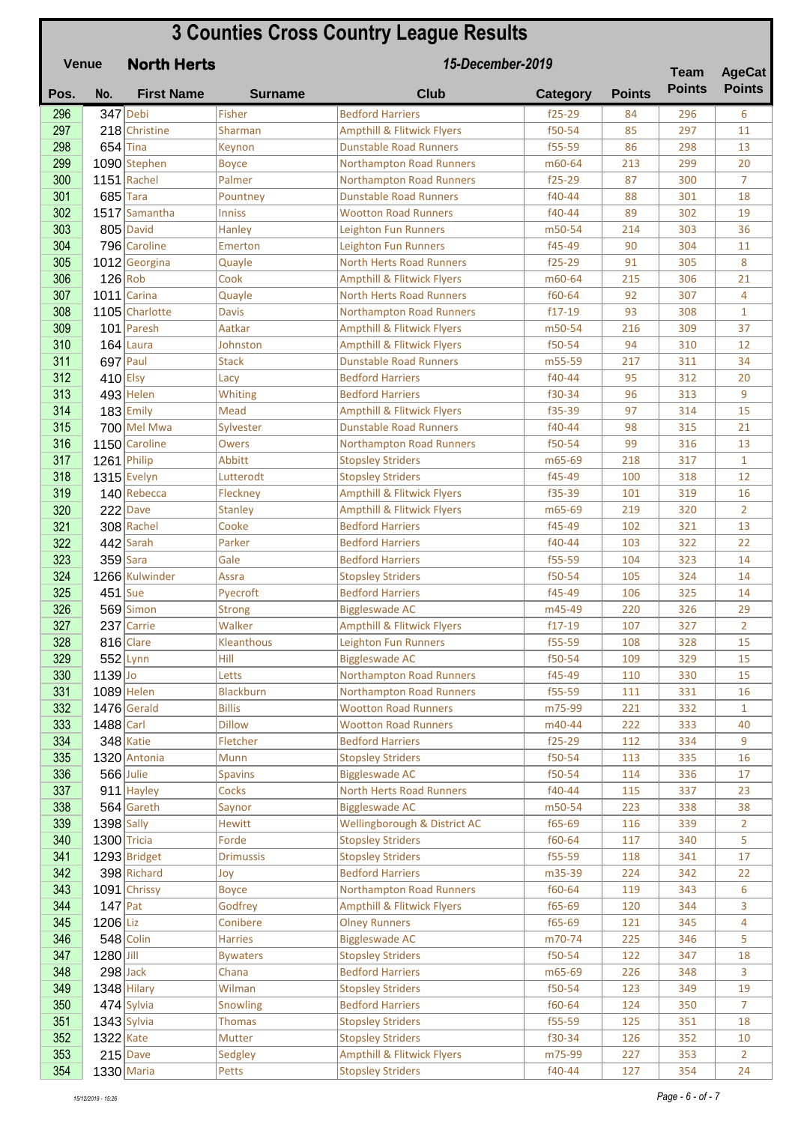## **Pos. No. First Name Surname Club Category Points North Herts 3 Counties Cross Country League Results Venue Team Points 15-December-2019 Team AgeCat Points** 296 347 Debi Fisher Bedford Harriers f25-29 84 296 6 297 218 Christine Sharman Ampthill & Flitwick Flyers Fig. 11 35 297 11 **298 654** Tina Keynon Dunstable Road Runners **f55-59** 86 298 13 299 1090 Stephen Boyce Northampton Road Runners m60-64 213 299 20 300 1151 Rachel Palmer Northampton Road Runners f25-29 87 300 7 301 685 Tara Pountney Dunstable Road Runners f40-44 88 301 18 302 1517 Samantha Inniss Wootton Road Runners 140-44 89 302 19 303 805 David Hanley Leighton Fun Runners m50-54 214 303 36 304 796 Caroline Emerton Leighton Fun Runners | f45-49 | 90 | 304 | 11  $\frac{305}{1012}$  Georgina  $\qquad$  Quayle North Herts Road Runners | f25-29 91 305 | 8 306 126 Rob Cook Ampthill & Flitwick Flyers m60-64 215 306 21 307 1011 Carina Quayle North Herts Road Runners f60-64 92 307 4 308 1105 Charlotte Davis Northampton Road Runners | f17-19 93 308 1 309 101 Paresh Aatkar Ampthill & Flitwick Flyers m50-54 216 309 37 310 164 Laura Johnston Ampthill & Flitwick Flyers | f50-54 94 310 12 311 697 Paul Stack Dunstable Road Runners 1955-59 217 311 34 **312** 410 Elsy Lacy Redford Harriers **f40-44** 95 312 20 **313** 493 Helen Whiting Bedford Harriers **f30-34** 96 313 9 314 183 Emily Mead Ampthill & Flitwick Flyers | 55-39 97 314 15 **315 700** Mel Mwa Sylvester **Dunstable Road Runners** f40-44 98 315 21 **316 1150** Caroline Owers Northampton Road Runners f50-54 99 316 13 317 1261 Philip Abbitt Stopsley Striders m65-69 218 317 1  $\frac{318}{ }$  1315 Evelyn Lutterodt Stopsley Striders F185-49 100 318 12 319 140 Rebecca Fleckney Ampthill & Flitwick Flyers Fits Fiss-39 101 319 16  $\frac{320}{222}$  Dave Stanley Ampthill & Flitwick Flyers and  $5-69$  219 320 2 **321** 308 Rachel Cooke Bedford Harriers **f45-49** 102 321 13 **322 442** Sarah Parker Bedford Harriers **f40-44** 103 322 22 **323** 359 Sara Gale Bedford Harriers **f55-59** 104 323 14 324 1266 Kulwinder Assra Stopsley Striders f50-54 105 324 14 **325 451** Sue Pyecroft Bedford Harriers **f45-49** 106 325 14 326 569 Simon Strong Biggleswade AC 1995 m45-49 220 326 29 327 237 Carrie Malker Ampthill & Flitwick Flyers 17-19 107 327 2 328 816 Clare Kleanthous Leighton Fun Runners f55-59 108 328 15 **329 552** Lynn Hill Hill Biggleswade AC f50-54 109 329 15  $\frac{330}{139}$  1139 Jo Letts Northampton Road Runners f45-49 110 330 15 331 1089 Helen Blackburn Northampton Road Runners | f55-59 | 111 | 331 | 16 **332 1476** Gerald Billis Wootton Road Runners – m75-99 221 332 1 **333 1488 Carl Dillow Wootton Road Runners 19 140-44 1222 1233 1240**  $\frac{334}{848}$  348 Katie Fletcher Bedford Harriers f25-29 112 334 9  $\frac{335}{336}$  1320 Antonia Munn Munn Stopsley Striders F50-54 113 335 1616 336 566 Julie Spavins Biggleswade AC 150-54 114 336 17 **337 911** Hayley Cocks North Herts Road Runners 140-44 115 337 23 338 564 Gareth Saynor Biggleswade AC m50-54 223 338 38 339 1398 Sally Hewitt Wellingborough & District AC f65-69 116 339 2  $\frac{340}{1300}$  1300 Tricia Forde Stopsley Striders f60-64 117 340 5 **341** 1293 Bridget **Drimussis Stopsley Striders FTS5-59** 118 341 17  $\frac{342}{ }$  398 Richard Joy Bedford Harriers 1988 342 224 342 223 343 1091 Chrissy Boyce Northampton Road Runners | f60-64 | 119 | 343 | 6  $\frac{344}{147}$  Pat Godfrey Ampthill & Flitwick Flyers f65-69 120 344 3 **345** 1206 Liz Conibere Olney Runners 1985 121 345 4 346 548 Colin Harries Biggleswade AC m70-74 225 346 5  $\frac{347}{1280}\begin{bmatrix}$  1280 Jill Bywaters Stopsley Striders F50-54 122 347 18 348 298 Jack Chana Bedford Harriers m65-69 226 348 3  $\frac{349}{ }$  1348 Hilary Milman Stopsley Striders 1988 123 123 349 19 **350 474** Sylvia Snowling Bedford Harriers **f**60-64 124 350 7  $\frac{351}{351}$  1343 Sylvia Thomas Stopsley Striders F55-59 125 351 18  $\frac{352}{ }$  1322 Kate Mutter Stopsley Striders F30-34 126 352 10 353 215 Dave Sedgley Ampthill & Flitwick Flyers m75-99 227 353 2  $354$  1330 Maria 128 Petts Stopsley Striders 140-44 127 354 24